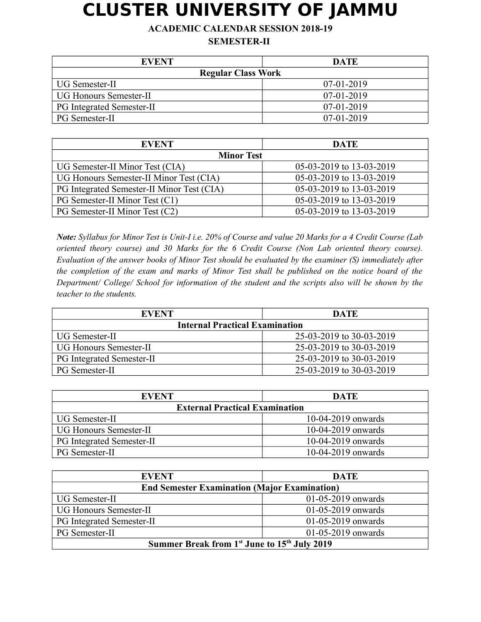## **CLUSTER UNIVERSITY OF JAMMU**

**ACADEMIC CALENDAR SESSION 2018-19**

**SEMESTER-II** 

| <b>EVENT</b>                  | <b>DATE</b>  |
|-------------------------------|--------------|
| <b>Regular Class Work</b>     |              |
| UG Semester-II                | $07-01-2019$ |
| <b>UG Honours Semester-II</b> | $07-01-2019$ |
| PG Integrated Semester-II     | $07-01-2019$ |
| <b>PG</b> Semester-II         | $07-01-2019$ |

| <b>EVENT</b>                               | <b>DATE</b>              |  |
|--------------------------------------------|--------------------------|--|
| <b>Minor Test</b>                          |                          |  |
| UG Semester-II Minor Test (CIA)            | 05-03-2019 to 13-03-2019 |  |
| UG Honours Semester-II Minor Test (CIA)    | 05-03-2019 to 13-03-2019 |  |
| PG Integrated Semester-II Minor Test (CIA) | 05-03-2019 to 13-03-2019 |  |
| PG Semester-II Minor Test (C1)             | 05-03-2019 to 13-03-2019 |  |
| PG Semester-II Minor Test (C2)             | 05-03-2019 to 13-03-2019 |  |

*Note: Syllabus for Minor Test is Unit-I i.e. 20% of Course and value 20 Marks for a 4 Credit Course (Lab oriented theory course) and 30 Marks for the 6 Credit Course (Non Lab oriented theory course). Evaluation of the answer books of Minor Test should be evaluated by the examiner (S) immediately after the completion of the exam and marks of Minor Test shall be published on the notice board of the Department/ College/ School for information of the student and the scripts also will be shown by the teacher to the students.*

| <b>EVENT</b>                          | <b>DATE</b>              |
|---------------------------------------|--------------------------|
| <b>Internal Practical Examination</b> |                          |
| UG Semester-II                        | 25-03-2019 to 30-03-2019 |
| <b>UG Honours Semester-II</b>         | 25-03-2019 to 30-03-2019 |
| <b>PG</b> Integrated Semester-II      | 25-03-2019 to 30-03-2019 |
| <b>PG</b> Semester-II                 | 25-03-2019 to 30-03-2019 |

| <b>EVENT</b>                          | <b>DATE</b>          |
|---------------------------------------|----------------------|
| <b>External Practical Examination</b> |                      |
| <b>UG Semester-II</b>                 | $10-04-2019$ onwards |
| <b>UG Honours Semester-II</b>         | $10-04-2019$ onwards |
| <b>PG Integrated Semester-II</b>      | $10-04-2019$ onwards |
| <b>PG</b> Semester-II                 | $10-04-2019$ onwards |

| <b>EVENT</b>                                                         | <b>DATE</b>              |
|----------------------------------------------------------------------|--------------------------|
| <b>End Semester Examination (Major Examination)</b>                  |                          |
| UG Semester-II                                                       | $01-05-2019$ onwards     |
| <b>UG Honours Semester-II</b>                                        | $01 - 05 - 2019$ onwards |
| <b>PG Integrated Semester-II</b>                                     | $01-05-2019$ onwards     |
| PG Semester-II                                                       | $01 - 05 - 2019$ onwards |
| Summer Break from 1 <sup>st</sup> June to 15 <sup>th</sup> July 2019 |                          |